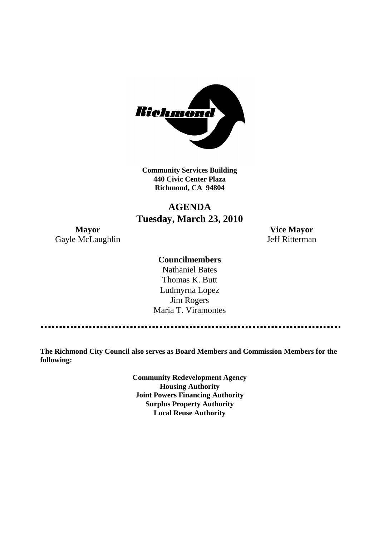

**Community Services Building 440 Civic Center Plaza Richmond, CA 94804**

# **AGENDA Tuesday, March 23, 2010**

Gayle McLaughlin Jeff Ritterman

**Mayor Vice Mayor**

## **Councilmembers**

Nathaniel Bates Thomas K. Butt Ludmyrna Lopez Jim Rogers Maria T. Viramontes

**The Richmond City Council also serves as Board Members and Commission Members for the following:**

> **Community Redevelopment Agency Housing Authority Joint Powers Financing Authority Surplus Property Authority Local Reuse Authority**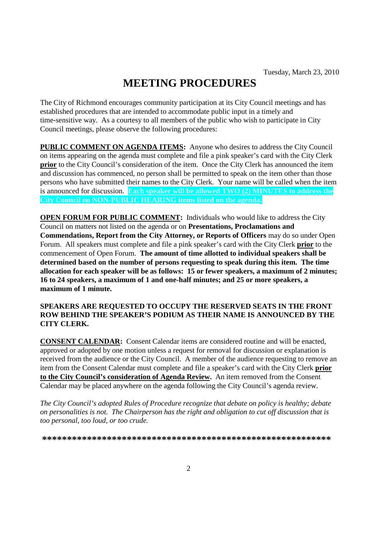# **MEETING PROCEDURES**

The City of Richmond encourages community participation at its City Council meetings and has established procedures that are intended to accommodate public input in a timely and time-sensitive way. As a courtesy to all members of the public who wish to participate in City Council meetings, please observe the following procedures:

**PUBLIC COMMENT ON AGENDA ITEMS:** Anyone who desires to address the City Council on items appearing on the agenda must complete and file a pink speaker's card with the City Clerk **prior** to the City Council's consideration of the item. Once the City Clerk has announced the item and discussion has commenced, no person shall be permitted to speak on the item other than those persons who have submitted their names to the City Clerk. Your name will be called when the item is announced for discussion. **Each speaker will be allowed TWO (2) MINUTES to address the City Council on NON-PUBLIC HEARING items listed on the agenda.**

**OPEN FORUM FOR PUBLIC COMMENT:** Individuals who would like to address the City Council on matters not listed on the agenda or on **Presentations, Proclamations and Commendations, Report from the City Attorney, or Reports of Officers** may do so under Open Forum. All speakers must complete and file a pink speaker's card with the City Clerk **prior** to the commencement of Open Forum. **The amount of time allotted to individual speakers shall be determined based on the number of persons requesting to speak during this item. The time allocation for each speaker will be as follows: 15 or fewer speakers, a maximum of 2 minutes; 16 to 24 speakers, a maximum of 1 and one-half minutes; and 25 or more speakers, a maximum of 1 minute.**

## **SPEAKERS ARE REQUESTED TO OCCUPY THE RESERVED SEATS IN THE FRONT ROW BEHIND THE SPEAKER'S PODIUM AS THEIR NAME IS ANNOUNCED BY THE CITY CLERK.**

**CONSENT CALENDAR:** Consent Calendar items are considered routine and will be enacted, approved or adopted by one motion unless a request for removal for discussion or explanation is received from the audience or the City Council. A member of the audience requesting to remove an item from the Consent Calendar must complete and file a speaker's card with the City Clerk **prior to the City Council's consideration of Agenda Review.** An item removed from the Consent Calendar may be placed anywhere on the agenda following the City Council's agenda review.

*The City Council's adopted Rules of Procedure recognize that debate on policy is healthy; debate on personalities is not. The Chairperson has the right and obligation to cut off discussion that is too personal, too loud, or too crude.*

**\*\*\*\*\*\*\*\*\*\*\*\*\*\*\*\*\*\*\*\*\*\*\*\*\*\*\*\*\*\*\*\*\*\*\*\*\*\*\*\*\*\*\*\*\*\*\*\*\*\*\*\*\*\*\*\*\*\***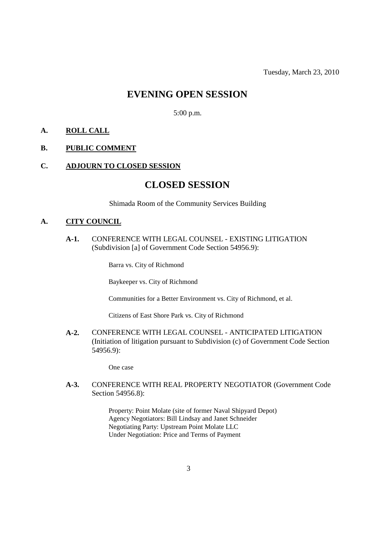## **EVENING OPEN SESSION**

5:00 p.m.

## **A. ROLL CALL**

## **B. PUBLIC COMMENT**

#### **C. ADJOURN TO CLOSED SESSION**

## **CLOSED SESSION**

Shimada Room of the Community Services Building

#### **A. CITY COUNCIL**

**A-1.** CONFERENCE WITH LEGAL COUNSEL - EXISTING LITIGATION (Subdivision [a] of Government Code Section 54956.9):

Barra vs. City of Richmond

Baykeeper vs. City of Richmond

Communities for a Better Environment vs. City of Richmond, et al.

Citizens of East Shore Park vs. City of Richmond

**A-2.** CONFERENCE WITH LEGAL COUNSEL - ANTICIPATED LITIGATION (Initiation of litigation pursuant to Subdivision (c) of Government Code Section 54956.9):

One case

**A-3.** CONFERENCE WITH REAL PROPERTY NEGOTIATOR (Government Code Section 54956.8):

> Property: Point Molate (site of former Naval Shipyard Depot) Agency Negotiators: Bill Lindsay and Janet Schneider Negotiating Party: Upstream Point Molate LLC Under Negotiation: Price and Terms of Payment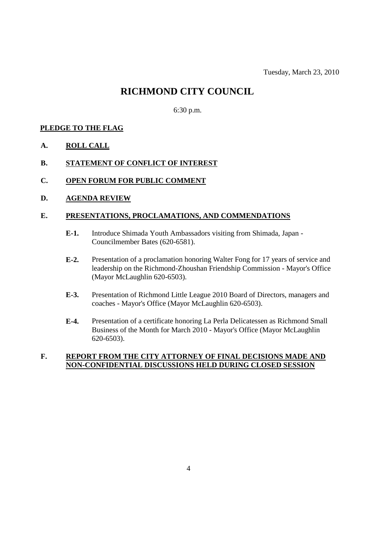## **RICHMOND CITY COUNCIL**

6:30 p.m.

## **PLEDGE TO THE FLAG**

- **A. ROLL CALL**
- **B. STATEMENT OF CONFLICT OF INTEREST**
- **C. OPEN FORUM FOR PUBLIC COMMENT**
- **D. AGENDA REVIEW**

## **E. PRESENTATIONS, PROCLAMATIONS, AND COMMENDATIONS**

- **E-1.** Introduce Shimada Youth Ambassadors visiting from Shimada, Japan Councilmember Bates (620-6581).
- **E-2.** Presentation of a proclamation honoring Walter Fong for 17 years of service and leadership on the Richmond-Zhoushan Friendship Commission - Mayor's Office (Mayor McLaughlin 620-6503).
- **E-3.** Presentation of Richmond Little League 2010 Board of Directors, managers and coaches - Mayor's Office (Mayor McLaughlin 620-6503).
- **E-4.** Presentation of a certificate honoring La Perla Delicatessen as Richmond Small Business of the Month for March 2010 - Mayor's Office (Mayor McLaughlin 620-6503).

## **F. REPORT FROM THE CITY ATTORNEY OF FINAL DECISIONS MADE AND NON-CONFIDENTIAL DISCUSSIONS HELD DURING CLOSED SESSION**